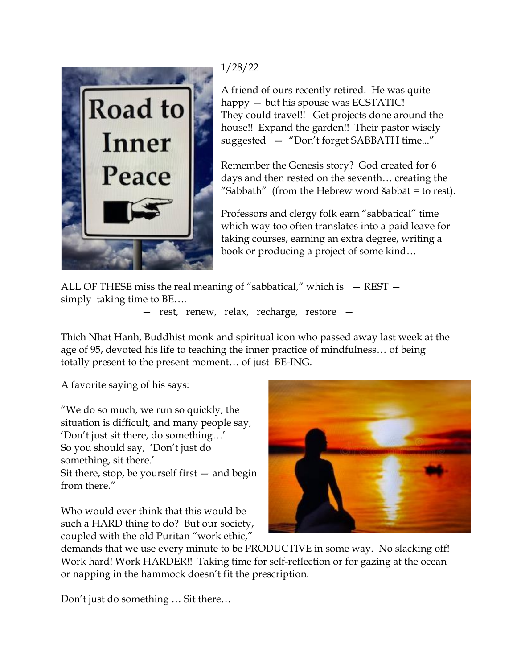

## 1/28/22

A friend of ours recently retired. He was quite happy — but his spouse was ECSTATIC! They could travel!! Get projects done around the house!! Expand the garden!! Their pastor wisely suggested — "Don't forget SABBATH time..."

Remember the Genesis story? God created for 6 days and then rested on the seventh… creating the "Sabbath" (from the Hebrew word šabbāt = to rest).

Professors and clergy folk earn "sabbatical" time which way too often translates into a paid leave for taking courses, earning an extra degree, writing a book or producing a project of some kind…

ALL OF THESE miss the real meaning of "sabbatical," which is  $-$  REST  $$ simply taking time to BE….

— rest, renew, relax, recharge, restore —

Thich Nhat Hanh, Buddhist monk and spiritual icon who passed away last week at the age of 95, devoted his life to teaching the inner practice of mindfulness… of being totally present to the present moment… of just BE-ING.

A favorite saying of his says:

"We do so much, we run so quickly, the situation is difficult, and many people say, 'Don't just sit there, do something…' So you should say, 'Don't just do something, sit there.' Sit there, stop, be yourself first — and begin from there."

Who would ever think that this would be such a HARD thing to do? But our society, coupled with the old Puritan "work ethic,"



demands that we use every minute to be PRODUCTIVE in some way. No slacking off! Work hard! Work HARDER!! Taking time for self-reflection or for gazing at the ocean or napping in the hammock doesn't fit the prescription.

Don't just do something … Sit there…